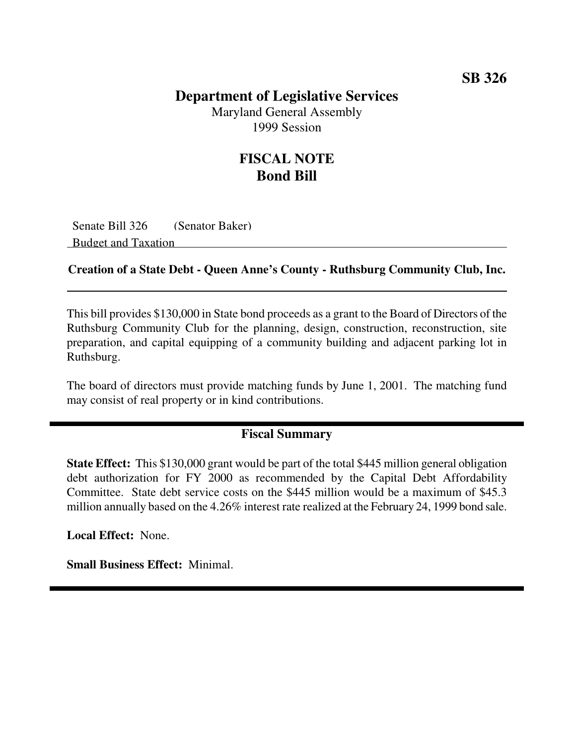### **Department of Legislative Services**

Maryland General Assembly 1999 Session

## **FISCAL NOTE Bond Bill**

Senate Bill 326 (Senator Baker) Budget and Taxation

#### **Creation of a State Debt - Queen Anne's County - Ruthsburg Community Club, Inc.**

This bill provides \$130,000 in State bond proceeds as a grant to the Board of Directors of the Ruthsburg Community Club for the planning, design, construction, reconstruction, site preparation, and capital equipping of a community building and adjacent parking lot in Ruthsburg.

The board of directors must provide matching funds by June 1, 2001. The matching fund may consist of real property or in kind contributions.

#### **Fiscal Summary**

**State Effect:** This \$130,000 grant would be part of the total \$445 million general obligation debt authorization for FY 2000 as recommended by the Capital Debt Affordability Committee. State debt service costs on the \$445 million would be a maximum of \$45.3 million annually based on the 4.26% interest rate realized at the February 24, 1999 bond sale.

**Local Effect:** None.

**Small Business Effect:** Minimal.